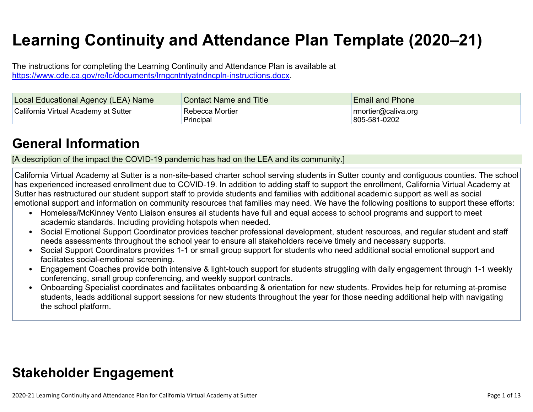# **Learning Continuity and Attendance Plan Template (2020–21)**

The instructions for completing the Learning Continuity and Attendance Plan is available at <https://www.cde.ca.gov/re/lc/documents/lrngcntntyatndncpln-instructions.docx>.

| Local Educational Agency (LEA) Name  | <b>Contact Name and Title</b> | <b>Email and Phone</b>                       |
|--------------------------------------|-------------------------------|----------------------------------------------|
| California Virtual Academy at Sutter | Rebecca Mortier<br>Principal  | $\lceil$ rmortier@caliva.org<br>805-581-0202 |

### **General [Information](http://www.doc-tracking.com/screenshots/20LCP/Instructions/20LCPInstructions.htm#generalinformation)**

[A description of the impact the COVID-19 pandemic has had on the LEA and its community.]

California Virtual Academy at Sutter is a non-site-based charter school serving students in Sutter county and contiguous counties. The school has experienced increased enrollment due to COVID-19. In addition to adding staff to support the enrollment, California Virtual Academy at Sutter has restructured our student support staff to provide students and families with additional academic support as well as social emotional support and information on community resources that families may need. We have the following positions to support these efforts:

- Homeless/McKinney Vento Liaison ensures all students have full and equal access to school programs and support to meet academic standards. Including providing hotspots when needed.
- Social Emotional Support Coordinator provides teacher professional development, student resources, and regular student and staff needs assessments throughout the school year to ensure all stakeholders receive timely and necessary supports.
- Social Support Coordinators provides 1-1 or small group support for students who need additional social emotional support and facilitates social-emotional screening.
- Engagement Coaches provide both intensive & light-touch support for students struggling with daily engagement through 1-1 weekly conferencing, small group conferencing, and weekly support contracts.
- Onboarding Specialist coordinates and facilitates onboarding & orientation for new students. Provides help for returning at-promise students, leads additional support sessions for new students throughout the year for those needing additional help with navigating the school platform.

# **Stakeholder [Engagement](http://www.doc-tracking.com/screenshots/20LCP/Instructions/20LCPInstructions.htm#stakeholderengagement)**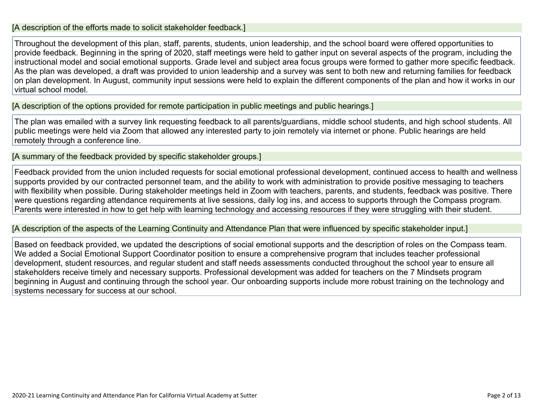#### [A description of the efforts made to solicit stakeholder feedback.]

Throughout the development of this plan, staff, parents, students, union leadership, and the school board were offered opportunities to provide feedback. Beginning in the spring of 2020, staff meetings were held to gather input on several aspects of the program, including the instructional model and social emotional supports. Grade level and subject area focus groups were formed to gather more specific feedback. As the plan was developed, a draft was provided to union leadership and a survey was sent to both new and returning families for feedback on plan development. In August, community input sessions were held to explain the different components of the plan and how it works in our virtual school model.

[A description of the options provided for remote participation in public meetings and public hearings.]

The plan was emailed with a survey link requesting feedback to all parents/guardians, middle school students, and high school students. All public meetings were held via Zoom that allowed any interested party to join remotely via internet or phone. Public hearings are held remotely through a conference line.

[A summary of the feedback provided by specific stakeholder groups.]

Feedback provided from the union included requests for social emotional professional development, continued access to health and wellness supports provided by our contracted personnel team, and the ability to work with administration to provide positive messaging to teachers with flexibility when possible. During stakeholder meetings held in Zoom with teachers, parents, and students, feedback was positive. There were questions regarding attendance requirements at live sessions, daily log ins, and access to supports through the Compass program. Parents were interested in how to get help with learning technology and accessing resources if they were struggling with their student.

[A description of the aspects of the Learning Continuity and Attendance Plan that were influenced by specific stakeholder input.]

Based on feedback provided, we updated the descriptions of social emotional supports and the description of roles on the Compass team. We added a Social Emotional Support Coordinator position to ensure a comprehensive program that includes teacher professional development, student resources, and regular student and staff needs assessments conducted throughout the school year to ensure all stakeholders receive timely and necessary supports. Professional development was added for teachers on the 7 Mindsets program beginning in August and continuing through the school year. Our onboarding supports include more robust training on the technology and systems necessary for success at our school.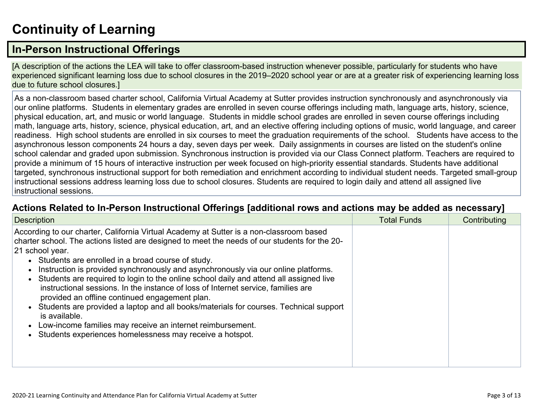# **[Continuity](http://www.doc-tracking.com/screenshots/20LCP/Instructions/20LCPInstructions.htm#ContinuityofLearning) of Learnin[g](http://www.doc-tracking.com/screenshots/20LCP/Instructions/20LCPInstructions.htm#ContinuityofLearning)**

### **In-Person [Instructional](http://www.doc-tracking.com/screenshots/20LCP/Instructions/20LCPInstructions.htm#ContinuityofLearning1) Offerings**

[A description of the actions the LEA will take to offer classroom-based instruction whenever possible, particularly for students who have experienced significant learning loss due to school closures in the 2019–2020 school year or are at a greater risk of experiencing learning loss due to future school closures.]

As a non-classroom based charter school, California Virtual Academy at Sutter provides instruction synchronously and asynchronously via our online platforms. Students in elementary grades are enrolled in seven course offerings including math, language arts, history, science, physical education, art, and music or world language. Students in middle school grades are enrolled in seven course offerings including math, language arts, history, science, physical education, art, and an elective offering including options of music, world language, and career readiness. High school students are enrolled in six courses to meet the graduation requirements of the school. Students have access to the asynchronous lesson components 24 hours a day, seven days per week. Daily assignments in courses are listed on the student's online school calendar and graded upon submission. Synchronous instruction is provided via our Class Connect platform. Teachers are required to provide a minimum of 15 hours of interactive instruction per week focused on high-priority essential standards. Students have additional targeted, synchronous instructional support for both remediation and enrichment according to individual student needs. Targeted small-group instructional sessions address learning loss due to school closures. Students are required to login daily and attend all assigned live instructional sessions.

#### **Actions Related to In-Person [Instructional](http://www.doc-tracking.com/screenshots/20LCP/Instructions/20LCPInstructions.htm#ContinuityofLearning2) Offerings [additional rows and actions may be added as necessary]**

| <b>Description</b>                                                                                                                                                                                                                                                                                                                                                                                                                                                                                                                                                                                                                                                                                                                                                                                                              | <b>Total Funds</b> | Contributing |
|---------------------------------------------------------------------------------------------------------------------------------------------------------------------------------------------------------------------------------------------------------------------------------------------------------------------------------------------------------------------------------------------------------------------------------------------------------------------------------------------------------------------------------------------------------------------------------------------------------------------------------------------------------------------------------------------------------------------------------------------------------------------------------------------------------------------------------|--------------------|--------------|
| According to our charter, California Virtual Academy at Sutter is a non-classroom based<br>charter school. The actions listed are designed to meet the needs of our students for the 20-<br>21 school year.<br>• Students are enrolled in a broad course of study.<br>Instruction is provided synchronously and asynchronously via our online platforms.<br>• Students are required to login to the online school daily and attend all assigned live<br>instructional sessions. In the instance of loss of Internet service, families are<br>provided an offline continued engagement plan.<br>Students are provided a laptop and all books/materials for courses. Technical support<br>is available.<br>Low-income families may receive an internet reimbursement.<br>Students experiences homelessness may receive a hotspot. |                    |              |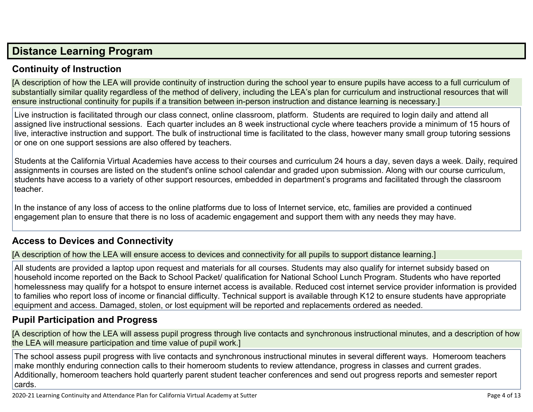### **Distance [Learning](http://www.doc-tracking.com/screenshots/20LCP/Instructions/20LCPInstructions.htm#DistanceLearningProgram) Program**

#### **Continuity of [Instruction](http://www.doc-tracking.com/screenshots/20LCP/Instructions/20LCPInstructions.htm#DistanceLearningProgram1)**

[A description of how the LEA will provide continuity of instruction during the school year to ensure pupils have access to a full curriculum of substantially similar quality regardless of the method of delivery, including the LEA's plan for curriculum and instructional resources that will ensure instructional continuity for pupils if a transition between in-person instruction and distance learning is necessary.]

Live instruction is facilitated through our class connect, online classroom, platform. Students are required to login daily and attend all assigned live instructional sessions. Each quarter includes an 8 week instructional cycle where teachers provide a minimum of 15 hours of live, interactive instruction and support. The bulk of instructional time is facilitated to the class, however many small group tutoring sessions or one on one support sessions are also offered by teachers.

Students at the California Virtual Academies have access to their courses and curriculum 24 hours a day, seven days a week. Daily, required assignments in courses are listed on the student's online school calendar and graded upon submission. Along with our course curriculum, students have access to a variety of other support resources, embedded in department's programs and facilitated through the classroom teacher.

In the instance of any loss of access to the online platforms due to loss of Internet service, etc, families are provided a continued engagement plan to ensure that there is no loss of academic engagement and support them with any needs they may have.

#### **Access to Devices and [Connectivity](http://www.doc-tracking.com/screenshots/20LCP/Instructions/20LCPInstructions.htm#DistanceLearningProgram2)**

[A description of how the LEA will ensure access to devices and connectivity for all pupils to support distance learning.]

All students are provided a laptop upon request and materials for all courses. Students may also qualify for internet subsidy based on household income reported on the Back to School Packet/ qualification for National School Lunch Program. Students who have reported homelessness may qualify for a hotspot to ensure internet access is available. Reduced cost internet service provider information is provided to families who report loss of income or financial difficulty. Technical support is available through K12 to ensure students have appropriate equipment and access. Damaged, stolen, or lost equipment will be reported and replacements ordered as needed.

#### **Pupil [Participation](http://www.doc-tracking.com/screenshots/20LCP/Instructions/20LCPInstructions.htm#DistanceLearningProgram3) and Progress**

[A description of how the LEA will assess pupil progress through live contacts and synchronous instructional minutes, and a description of how the LEA will measure participation and time value of pupil work.]

The school assess pupil progress with live contacts and synchronous instructional minutes in several different ways. Homeroom teachers make monthly enduring connection calls to their homeroom students to review attendance, progress in classes and current grades. Additionally, homeroom teachers hold quarterly parent student teacher conferences and send out progress reports and semester report cards.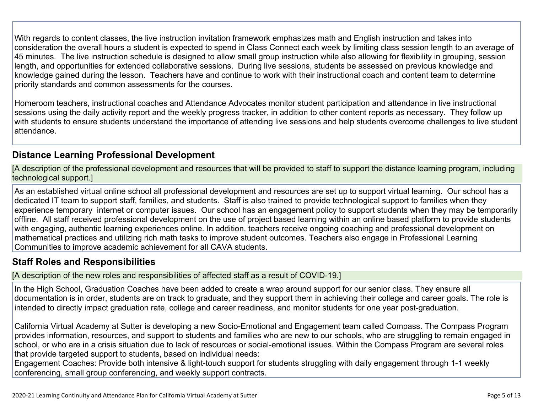With regards to content classes, the live instruction invitation framework emphasizes math and English instruction and takes into consideration the overall hours a student is expected to spend in Class Connect each week by limiting class session length to an average of 45 minutes. The live instruction schedule is designed to allow small group instruction while also allowing for flexibility in grouping, session length, and opportunities for extended collaborative sessions. During live sessions, students be assessed on previous knowledge and knowledge gained during the lesson. Teachers have and continue to work with their instructional coach and content team to determine priority standards and common assessments for the courses.

Homeroom teachers, instructional coaches and Attendance Advocates monitor student participation and attendance in live instructional sessions using the daily activity report and the weekly progress tracker, in addition to other content reports as necessary. They follow up with students to ensure students understand the importance of attending live sessions and help students overcome challenges to live student attendance.

#### **Distance Learning Professional [Development](http://www.doc-tracking.com/screenshots/20LCP/Instructions/20LCPInstructions.htm#DistanceLearningProgram4)**

[A description of the professional development and resources that will be provided to staff to support the distance learning program, including technological support.]

As an established virtual online school all professional development and resources are set up to support virtual learning. Our school has a dedicated IT team to support staff, families, and students. Staff is also trained to provide technological support to families when they experience temporary internet or computer issues. Our school has an engagement policy to support students when they may be temporarily offline. All staff received professional development on the use of project based learning within an online based platform to provide students with engaging, authentic learning experiences online. In addition, teachers receive ongoing coaching and professional development on mathematical practices and utilizing rich math tasks to improve student outcomes. Teachers also engage in Professional Learning Communities to improve academic achievement for all CAVA students.

#### **Staff Roles and [Responsibilities](http://www.doc-tracking.com/screenshots/20LCP/Instructions/20LCPInstructions.htm#DistanceLearningProgram5)**

[A description of the new roles and responsibilities of affected staff as a result of COVID-19.]

In the High School, Graduation Coaches have been added to create a wrap around support for our senior class. They ensure all documentation is in order, students are on track to graduate, and they support them in achieving their college and career goals. The role is intended to directly impact graduation rate, college and career readiness, and monitor students for one year post-graduation.

California Virtual Academy at Sutter is developing a new Socio-Emotional and Engagement team called Compass. The Compass Program provides information, resources, and support to students and families who are new to our schools, who are struggling to remain engaged in school, or who are in a crisis situation due to lack of resources or social-emotional issues. Within the Compass Program are several roles that provide targeted support to students, based on individual needs:

Engagement Coaches: Provide both intensive & light-touch support for students struggling with daily engagement through 1-1 weekly conferencing, small group conferencing, and weekly support contracts.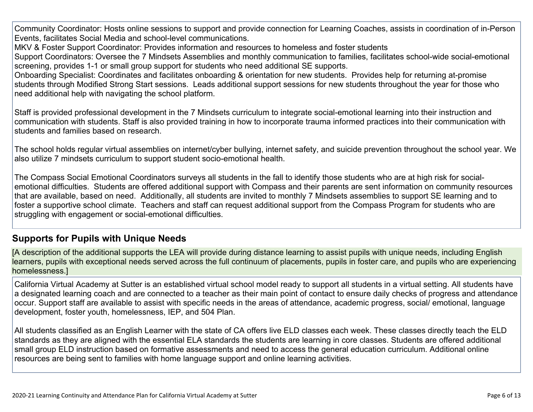Community Coordinator: Hosts online sessions to support and provide connection for Learning Coaches, assists in coordination of in-Person Events, facilitates Social Media and school-level communications.

MKV & Foster Support Coordinator: Provides information and resources to homeless and foster students

Support Coordinators: Oversee the 7 Mindsets Assemblies and monthly communication to families, facilitates school-wide social-emotional screening, provides 1-1 or small group support for students who need additional SE supports.

Onboarding Specialist: Coordinates and facilitates onboarding & orientation for new students. Provides help for returning at-promise students through Modified Strong Start sessions. Leads additional support sessions for new students throughout the year for those who need additional help with navigating the school platform.

Staff is provided professional development in the 7 Mindsets curriculum to integrate social-emotional learning into their instruction and communication with students. Staff is also provided training in how to incorporate trauma informed practices into their communication with students and families based on research.

The school holds regular virtual assemblies on internet/cyber bullying, internet safety, and suicide prevention throughout the school year. We also utilize 7 mindsets curriculum to support student socio-emotional health.

The Compass Social Emotional Coordinators surveys all students in the fall to identify those students who are at high risk for socialemotional difficulties. Students are offered additional support with Compass and their parents are sent information on community resources that are available, based on need. Additionally, all students are invited to monthly 7 Mindsets assemblies to support SE learning and to foster a supportive school climate. Teachers and staff can request additional support from the Compass Program for students who are struggling with engagement or social-emotional difficulties.

#### **[Supports](http://www.doc-tracking.com/screenshots/20LCP/Instructions/20LCPInstructions.htm#DistanceLearningProgram6) for Pupils with Unique Needs**

[A description of the additional supports the LEA will provide during distance learning to assist pupils with unique needs, including English learners, pupils with exceptional needs served across the full continuum of placements, pupils in foster care, and pupils who are experiencing homelessness.]

California Virtual Academy at Sutter is an established virtual school model ready to support all students in a virtual setting. All students have a designated learning coach and are connected to a teacher as their main point of contact to ensure daily checks of progress and attendance occur. Support staff are available to assist with specific needs in the areas of attendance, academic progress, social/ emotional, language development, foster youth, homelessness, IEP, and 504 Plan.

All students classified as an English Learner with the state of CA offers live ELD classes each week. These classes directly teach the ELD standards as they are aligned with the essential ELA standards the students are learning in core classes. Students are offered additional small group ELD instruction based on formative assessments and need to access the general education curriculum. Additional online resources are being sent to families with home language support and online learning activities.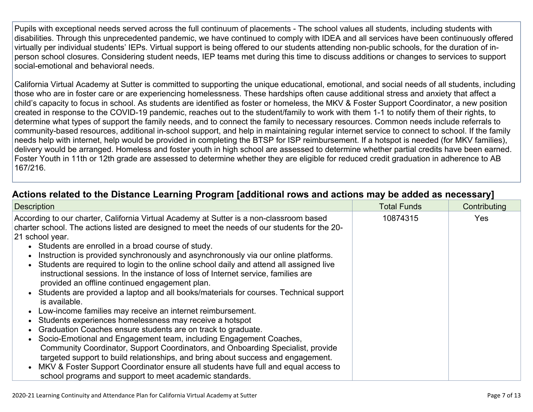Pupils with exceptional needs served across the full continuum of placements - The school values all students, including students with disabilities. Through this unprecedented pandemic, we have continued to comply with IDEA and all services have been continuously offered virtually per individual students' IEPs. Virtual support is being offered to our students attending non-public schools, for the duration of inperson school closures. Considering student needs, IEP teams met during this time to discuss additions or changes to services to support social-emotional and behavioral needs.

California Virtual Academy at Sutter is committed to supporting the unique educational, emotional, and social needs of all students, including those who are in foster care or are experiencing homelessness. These hardships often cause additional stress and anxiety that affect a child's capacity to focus in school. As students are identified as foster or homeless, the MKV & Foster Support Coordinator, a new position created in response to the COVID-19 pandemic, reaches out to the student/family to work with them 1-1 to notify them of their rights, to determine what types of support the family needs, and to connect the family to necessary resources. Common needs include referrals to community-based resources, additional in-school support, and help in maintaining regular internet service to connect to school. If the family needs help with internet, help would be provided in completing the BTSP for ISP reimbursement. If a hotspot is needed (for MKV families), delivery would be arranged. Homeless and foster youth in high school are assessed to determine whether partial credits have been earned. Foster Youth in 11th or 12th grade are assessed to determine whether they are eligible for reduced credit graduation in adherence to AB 167/216.

| <b>Description</b>                                                                                                                                                                                                                                                                                                                                                                                                                                                                                                                                                                                                                                                                                                                                                                                                                                                                                                                                                                                                                                                                                                                                                                                                                                            | <b>Total Funds</b> | Contributing |
|---------------------------------------------------------------------------------------------------------------------------------------------------------------------------------------------------------------------------------------------------------------------------------------------------------------------------------------------------------------------------------------------------------------------------------------------------------------------------------------------------------------------------------------------------------------------------------------------------------------------------------------------------------------------------------------------------------------------------------------------------------------------------------------------------------------------------------------------------------------------------------------------------------------------------------------------------------------------------------------------------------------------------------------------------------------------------------------------------------------------------------------------------------------------------------------------------------------------------------------------------------------|--------------------|--------------|
| According to our charter, California Virtual Academy at Sutter is a non-classroom based<br>charter school. The actions listed are designed to meet the needs of our students for the 20-<br>21 school year.<br>• Students are enrolled in a broad course of study.<br>Instruction is provided synchronously and asynchronously via our online platforms.<br>• Students are required to login to the online school daily and attend all assigned live<br>instructional sessions. In the instance of loss of Internet service, families are<br>provided an offline continued engagement plan.<br>Students are provided a laptop and all books/materials for courses. Technical support<br>is available.<br>Low-income families may receive an internet reimbursement.<br>$\bullet$<br>Students experiences homelessness may receive a hotspot<br>Graduation Coaches ensure students are on track to graduate.<br>• Socio-Emotional and Engagement team, including Engagement Coaches,<br>Community Coordinator, Support Coordinators, and Onboarding Specialist, provide<br>targeted support to build relationships, and bring about success and engagement.<br>MKV & Foster Support Coordinator ensure all students have full and equal access to<br>$\bullet$ | 10874315           | <b>Yes</b>   |
| school programs and support to meet academic standards.                                                                                                                                                                                                                                                                                                                                                                                                                                                                                                                                                                                                                                                                                                                                                                                                                                                                                                                                                                                                                                                                                                                                                                                                       |                    |              |

### **Actions related to the Distance Learning Program [additional rows and actions may be added as [necessary\]](http://www.doc-tracking.com/screenshots/20LCP/Instructions/20LCPInstructions.htm#DistanceLearningProgram7)**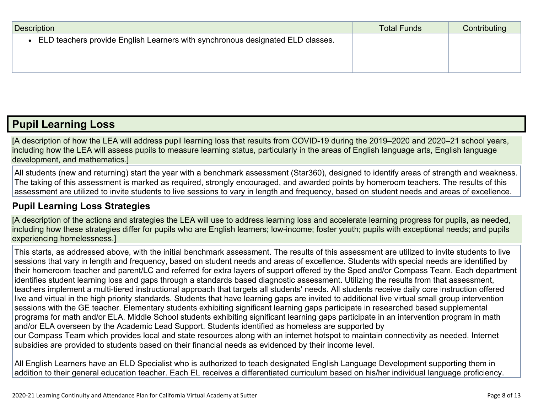| Description                                                                    | <b>Total Funds</b> | Contributing |
|--------------------------------------------------------------------------------|--------------------|--------------|
| ELD teachers provide English Learners with synchronous designated ELD classes. |                    |              |
|                                                                                |                    |              |
|                                                                                |                    |              |

### **Pupil [Learning](http://www.doc-tracking.com/screenshots/20LCP/Instructions/20LCPInstructions.htm#PupilLearningLoss) Loss**

[A description of how the LEA will address pupil learning loss that results from COVID-19 during the 2019–2020 and 2020–21 school years, including how the LEA will assess pupils to measure learning status, particularly in the areas of English language arts, English language development, and mathematics.]

All students (new and returning) start the year with a benchmark assessment (Star360), designed to identify areas of strength and weakness. The taking of this assessment is marked as required, strongly encouraged, and awarded points by homeroom teachers. The results of this assessment are utilized to invite students to live sessions to vary in length and frequency, based on student needs and areas of excellence.

#### **Pupil Learning Loss [Strategies](http://www.doc-tracking.com/screenshots/20LCP/Instructions/20LCPInstructions.htm#PupilLearningLoss1)**

[A description of the actions and strategies the LEA will use to address learning loss and accelerate learning progress for pupils, as needed, including how these strategies differ for pupils who are English learners; low-income; foster youth; pupils with exceptional needs; and pupils experiencing homelessness.]

This starts, as addressed above, with the initial benchmark assessment. The results of this assessment are utilized to invite students to live sessions that vary in length and frequency, based on student needs and areas of excellence. Students with special needs are identified by their homeroom teacher and parent/LC and referred for extra layers of support offered by the Sped and/or Compass Team. Each department identifies student learning loss and gaps through a standards based diagnostic assessment. Utilizing the results from that assessment, teachers implement a multi-tiered instructional approach that targets all students' needs. All students receive daily core instruction offered live and virtual in the high priority standards. Students that have learning gaps are invited to additional live virtual small group intervention sessions with the GE teacher. Elementary students exhibiting significant learning gaps participate in researched based supplemental programs for math and/or ELA. Middle School students exhibiting significant learning gaps participate in an intervention program in math and/or ELA overseen by the Academic Lead Support. Students identified as homeless are supported by our Compass Team which provides local and state resources along with an internet hotspot to maintain connectivity as needed. Internet subsidies are provided to students based on their financial needs as evidenced by their income level.

All English Learners have an ELD Specialist who is authorized to teach designated English Language Development supporting them in addition to their general education teacher. Each EL receives a differentiated curriculum based on his/her individual language proficiency.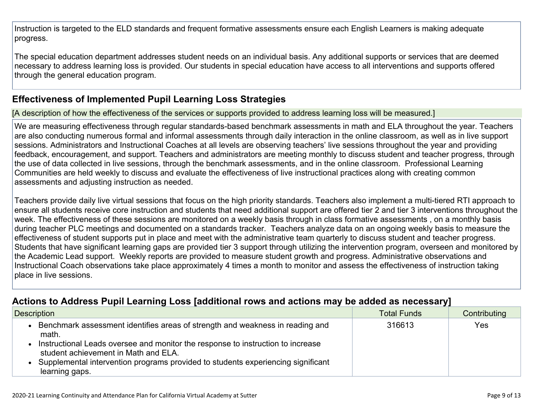Instruction is targeted to the ELD standards and frequent formative assessments ensure each English Learners is making adequate progress.

The special education department addresses student needs on an individual basis. Any additional supports or services that are deemed necessary to address learning loss is provided. Our students in special education have access to all interventions and supports offered through the general education program.

#### **[Effectiveness](http://www.doc-tracking.com/screenshots/20LCP/Instructions/20LCPInstructions.htm#PupilLearningLoss2) of Implemented Pupil Learning Loss Strategies**

[A description of how the effectiveness of the services or supports provided to address learning loss will be measured.]

We are measuring effectiveness through regular standards-based benchmark assessments in math and ELA throughout the year. Teachers are also conducting numerous formal and informal assessments through daily interaction in the online classroom, as well as in live support sessions. Administrators and Instructional Coaches at all levels are observing teachers' live sessions throughout the year and providing feedback, encouragement, and support. Teachers and administrators are meeting monthly to discuss student and teacher progress, through the use of data collected in live sessions, through the benchmark assessments, and in the online classroom. Professional Learning Communities are held weekly to discuss and evaluate the effectiveness of live instructional practices along with creating common assessments and adjusting instruction as needed.

Teachers provide daily live virtual sessions that focus on the high priority standards. Teachers also implement a multi-tiered RTI approach to ensure all students receive core instruction and students that need additional support are offered tier 2 and tier 3 interventions throughout the week. The effectiveness of these sessions are monitored on a weekly basis through in class formative assessments , on a monthly basis during teacher PLC meetings and documented on a standards tracker. Teachers analyze data on an ongoing weekly basis to measure the effectiveness of student supports put in place and meet with the administrative team quarterly to discuss student and teacher progress. Students that have significant learning gaps are provided tier 3 support through utilizing the intervention program, overseen and monitored by the Academic Lead support. Weekly reports are provided to measure student growth and progress. Administrative observations and Instructional Coach observations take place approximately 4 times a month to monitor and assess the effectiveness of instruction taking place in live sessions.

#### **Actions to Address Pupil Learning Loss [additional rows and actions may be added as [necessary\]](http://www.doc-tracking.com/screenshots/20LCP/Instructions/20LCPInstructions.htm#PupilLearningLoss4)**

| Description                                                                                                             | <b>Total Funds</b> | Contributing |
|-------------------------------------------------------------------------------------------------------------------------|--------------------|--------------|
| Benchmark assessment identifies areas of strength and weakness in reading and<br>math.                                  | 316613             | Yes          |
| Instructional Leads oversee and monitor the response to instruction to increase<br>student achievement in Math and ELA. |                    |              |
| Supplemental intervention programs provided to students experiencing significant<br>learning gaps.                      |                    |              |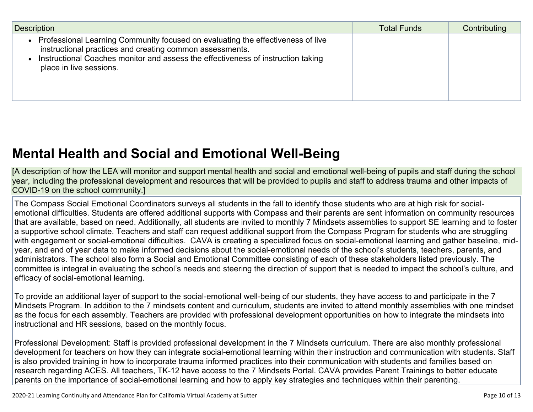| <b>Description</b>                                                                                                                                                                                                                                         | <b>Total Funds</b> | Contributing |
|------------------------------------------------------------------------------------------------------------------------------------------------------------------------------------------------------------------------------------------------------------|--------------------|--------------|
| Professional Learning Community focused on evaluating the effectiveness of live<br>instructional practices and creating common assessments.<br>Instructional Coaches monitor and assess the effectiveness of instruction taking<br>place in live sessions. |                    |              |

# **Mental Health and Social and Emotional [Well-Being](http://www.doc-tracking.com/screenshots/20LCP/Instructions/20LCPInstructions.htm#MentalHealthandSocialandEmotional)**

[A description of how the LEA will monitor and support mental health and social and emotional well-being of pupils and staff during the school year, including the professional development and resources that will be provided to pupils and staff to address trauma and other impacts of COVID-19 on the school community.]

The Compass Social Emotional Coordinators surveys all students in the fall to identify those students who are at high risk for socialemotional difficulties. Students are offered additional supports with Compass and their parents are sent information on community resources that are available, based on need. Additionally, all students are invited to monthly 7 Mindsets assemblies to support SE learning and to foster a supportive school climate. Teachers and staff can request additional support from the Compass Program for students who are struggling with engagement or social-emotional difficulties. CAVA is creating a specialized focus on social-emotional learning and gather baseline, midyear, and end of year data to make informed decisions about the social-emotional needs of the school's students, teachers, parents, and administrators. The school also form a Social and Emotional Committee consisting of each of these stakeholders listed previously. The committee is integral in evaluating the school's needs and steering the direction of support that is needed to impact the school's culture, and efficacy of social-emotional learning.

To provide an additional layer of support to the social-emotional well-being of our students, they have access to and participate in the 7 Mindsets Program. In addition to the 7 mindsets content and curriculum, students are invited to attend monthly assemblies with one mindset as the focus for each assembly. Teachers are provided with professional development opportunities on how to integrate the mindsets into instructional and HR sessions, based on the monthly focus.

Professional Development: Staff is provided professional development in the 7 Mindsets curriculum. There are also monthly professional development for teachers on how they can integrate social-emotional learning within their instruction and communication with students. Staff is also provided training in how to incorporate trauma informed practices into their communication with students and families based on research regarding ACES. All teachers, TK-12 have access to the 7 Mindsets Portal. CAVA provides Parent Trainings to better educate parents on the importance of social-emotional learning and how to apply key strategies and techniques within their parenting.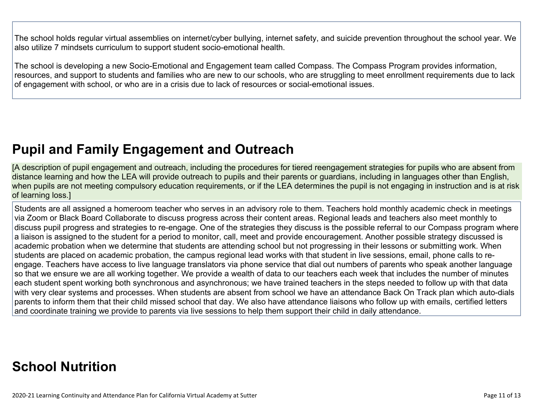The school holds regular virtual assemblies on internet/cyber bullying, internet safety, and suicide prevention throughout the school year. We also utilize 7 mindsets curriculum to support student socio-emotional health.

The school is developing a new Socio-Emotional and Engagement team called Compass. The Compass Program provides information, resources, and support to students and families who are new to our schools, who are struggling to meet enrollment requirements due to lack of engagement with school, or who are in a crisis due to lack of resources or social-emotional issues.

## **Pupil and Family [Engagement](http://www.doc-tracking.com/screenshots/20LCP/Instructions/20LCPInstructions.htm#PupilEngagementandOutreach) and Outreach**

[A description of pupil engagement and outreach, including the procedures for tiered reengagement strategies for pupils who are absent from distance learning and how the LEA will provide outreach to pupils and their parents or guardians, including in languages other than English, when pupils are not meeting compulsory education requirements, or if the LEA determines the pupil is not engaging in instruction and is at risk of learning loss.]

Students are all assigned a homeroom teacher who serves in an advisory role to them. Teachers hold monthly academic check in meetings via Zoom or Black Board Collaborate to discuss progress across their content areas. Regional leads and teachers also meet monthly to discuss pupil progress and strategies to re-engage. One of the strategies they discuss is the possible referral to our Compass program where a liaison is assigned to the student for a period to monitor, call, meet and provide encouragement. Another possible strategy discussed is academic probation when we determine that students are attending school but not progressing in their lessons or submitting work. When students are placed on academic probation, the campus regional lead works with that student in live sessions, email, phone calls to reengage. Teachers have access to live language translators via phone service that dial out numbers of parents who speak another language so that we ensure we are all working together. We provide a wealth of data to our teachers each week that includes the number of minutes each student spent working both synchronous and asynchronous; we have trained teachers in the steps needed to follow up with that data with very clear systems and processes. When students are absent from school we have an attendance Back On Track plan which auto-dials parents to inform them that their child missed school that day. We also have attendance liaisons who follow up with emails, certified letters and coordinate training we provide to parents via live sessions to help them support their child in daily attendance.

# **School [Nutrition](http://www.doc-tracking.com/screenshots/20LCP/Instructions/20LCPInstructions.htm#SchoolNutrition)**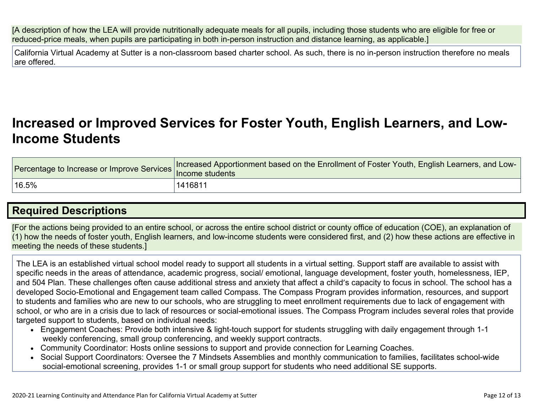[A description of how the LEA will provide nutritionally adequate meals for all pupils, including those students who are eligible for free or reduced-price meals, when pupils are participating in both in-person instruction and distance learning, as applicable.]

California Virtual Academy at Sutter is a non-classroom based charter school. As such, there is no in-person instruction therefore no meals are offered.

### **[Increased](http://www.doc-tracking.com/screenshots/20LCP/Instructions/20LCPInstructions.htm#IncreasedorImprovedServices) or Improved Services for Foster Youth, English Learners, and Low-Income [Students](http://www.doc-tracking.com/screenshots/20LCP/Instructions/20LCPInstructions.htm#IncreasedorImprovedServices)**

| Percentage to Increase or Improve Services | Increased Apportionment based on the Enrollment of Foster Youth, English Learners, and Low-<br>Income students |
|--------------------------------------------|----------------------------------------------------------------------------------------------------------------|
| $^{\dagger}$ 16.5%                         | ່ 1416811                                                                                                      |

### **Required [Descriptions](http://www.doc-tracking.com/screenshots/20LCP/Instructions/20LCPInstructions.htm#RequiredDescriptions)**

[For the actions being provided to an entire school, or across the entire school district or county office of education (COE), an explanation of (1) how the needs of foster youth, English learners, and low-income students were considered first, and (2) how these actions are effective in meeting the needs of these students.]

The LEA is an established virtual school model ready to support all students in a virtual setting. Support staff are available to assist with specific needs in the areas of attendance, academic progress, social/ emotional, language development, foster youth, homelessness, IEP, and 504 Plan. These challenges often cause additional stress and anxiety that affect a child's capacity to focus in school. The school has a developed Socio-Emotional and Engagement team called Compass. The Compass Program provides information, resources, and support to students and families who are new to our schools, who are struggling to meet enrollment requirements due to lack of engagement with school, or who are in a crisis due to lack of resources or social-emotional issues. The Compass Program includes several roles that provide targeted support to students, based on individual needs:

- Engagement Coaches: Provide both intensive & light-touch support for students struggling with daily engagement through 1-1 weekly conferencing, small group conferencing, and weekly support contracts.
- Community Coordinator: Hosts online sessions to support and provide connection for Learning Coaches.
- Social Support Coordinators: Oversee the 7 Mindsets Assemblies and monthly communication to families, facilitates school-wide social-emotional screening, provides 1-1 or small group support for students who need additional SE supports.